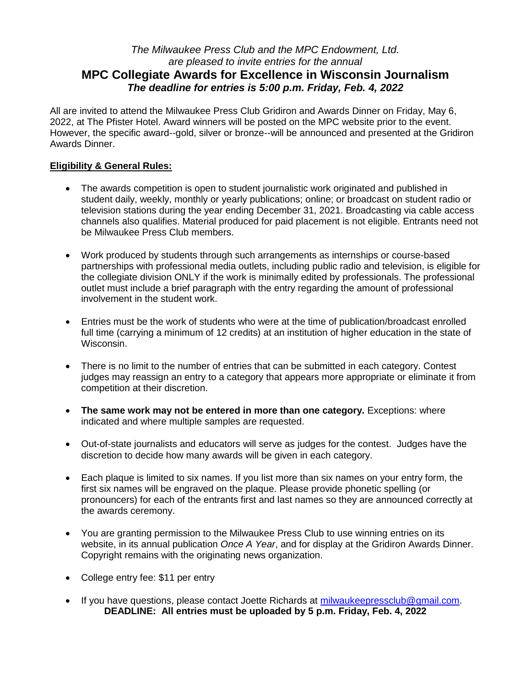# *The Milwaukee Press Club and the MPC Endowment, Ltd. are pleased to invite entries for the annual* **MPC Collegiate Awards for Excellence in Wisconsin Journalism** *The deadline for entries is 5:00 p.m. Friday, Feb. 4, 2022*

All are invited to attend the Milwaukee Press Club Gridiron and Awards Dinner on Friday, May 6, 2022, at The Pfister Hotel. Award winners will be posted on the MPC website prior to the event. However, the specific award--gold, silver or bronze--will be announced and presented at the Gridiron Awards Dinner.

# **Eligibility & General Rules:**

- The awards competition is open to student journalistic work originated and published in student daily, weekly, monthly or yearly publications; online; or broadcast on student radio or television stations during the year ending December 31, 2021. Broadcasting via cable access channels also qualifies. Material produced for paid placement is not eligible. Entrants need not be Milwaukee Press Club members.
- Work produced by students through such arrangements as internships or course-based partnerships with professional media outlets, including public radio and television, is eligible for the collegiate division ONLY if the work is minimally edited by professionals. The professional outlet must include a brief paragraph with the entry regarding the amount of professional involvement in the student work.
- Entries must be the work of students who were at the time of publication/broadcast enrolled full time (carrying a minimum of 12 credits) at an institution of higher education in the state of Wisconsin.
- There is no limit to the number of entries that can be submitted in each category. Contest judges may reassign an entry to a category that appears more appropriate or eliminate it from competition at their discretion.
- **The same work may not be entered in more than one category.** Exceptions: where indicated and where multiple samples are requested.
- Out-of-state journalists and educators will serve as judges for the contest. Judges have the discretion to decide how many awards will be given in each category.
- Each plaque is limited to six names. If you list more than six names on your entry form, the first six names will be engraved on the plaque. Please provide phonetic spelling (or pronouncers) for each of the entrants first and last names so they are announced correctly at the awards ceremony.
- You are granting permission to the Milwaukee Press Club to use winning entries on its website, in its annual publication *Once A Year*, and for display at the Gridiron Awards Dinner. Copyright remains with the originating news organization.
- College entry fee: \$11 per entry
- If you have questions, please contact Joette Richards at [milwaukeepressclub@gmail.com.](mailto:milwaukeepressclub@gmail.com) **DEADLINE: All entries must be uploaded by 5 p.m. Friday, Feb. 4, 2022**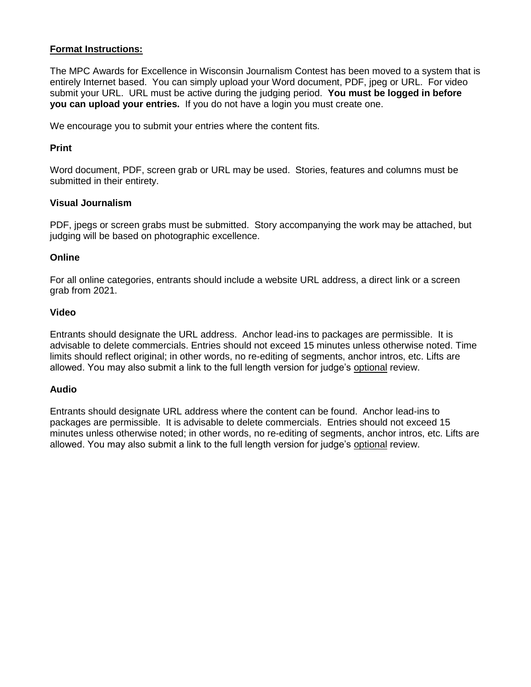# **Format Instructions:**

The MPC Awards for Excellence in Wisconsin Journalism Contest has been moved to a system that is entirely Internet based. You can simply upload your Word document, PDF, jpeg or URL. For video submit your URL. URL must be active during the judging period. **You must be logged in before you can upload your entries.** If you do not have a login you must create one.

We encourage you to submit your entries where the content fits.

# **Print**

Word document, PDF, screen grab or URL may be used. Stories, features and columns must be submitted in their entirety.

### **Visual Journalism**

PDF, jpegs or screen grabs must be submitted. Story accompanying the work may be attached, but judging will be based on photographic excellence.

### **Online**

For all online categories, entrants should include a website URL address, a direct link or a screen grab from 2021.

### **Video**

Entrants should designate the URL address. Anchor lead-ins to packages are permissible. It is advisable to delete commercials. Entries should not exceed 15 minutes unless otherwise noted. Time limits should reflect original; in other words, no re-editing of segments, anchor intros, etc. Lifts are allowed. You may also submit a link to the full length version for judge's optional review.

# **Audio**

Entrants should designate URL address where the content can be found. Anchor lead-ins to packages are permissible. It is advisable to delete commercials. Entries should not exceed 15 minutes unless otherwise noted; in other words, no re-editing of segments, anchor intros, etc. Lifts are allowed. You may also submit a link to the full length version for judge's optional review.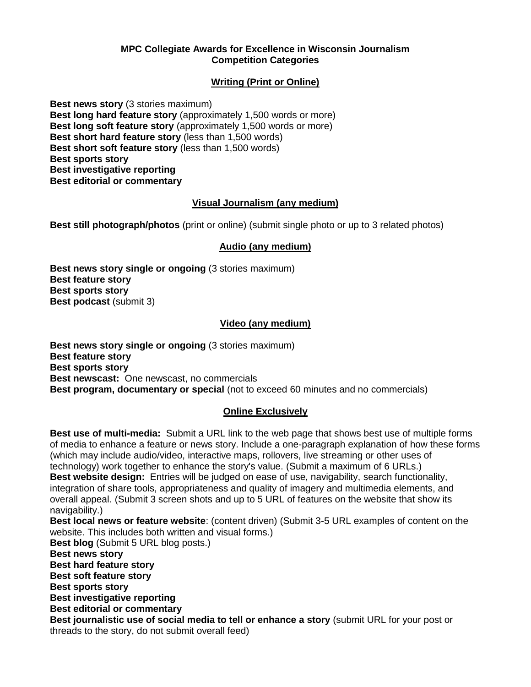#### **MPC Collegiate Awards for Excellence in Wisconsin Journalism Competition Categories**

# **Writing (Print or Online)**

**Best news story** (3 stories maximum) **Best long hard feature story** (approximately 1,500 words or more) **Best long soft feature story** (approximately 1,500 words or more) **Best short hard feature story** (less than 1,500 words) **Best short soft feature story** (less than 1,500 words) **Best sports story Best investigative reporting Best editorial or commentary**

# **Visual Journalism (any medium)**

**Best still photograph/photos** (print or online) (submit single photo or up to 3 related photos)

### **Audio (any medium)**

**Best news story single or ongoing** (3 stories maximum) **Best feature story Best sports story Best podcast (submit 3)** 

### **Video (any medium)**

**Best news story single or ongoing** (3 stories maximum) **Best feature story Best sports story Best newscast:** One newscast, no commercials **Best program, documentary or special** (not to exceed 60 minutes and no commercials)

#### **Online Exclusively**

**Best use of multi-media:** Submit a URL link to the web page that shows best use of multiple forms of media to enhance a feature or news story. Include a one-paragraph explanation of how these forms (which may include audio/video, interactive maps, rollovers, live streaming or other uses of technology) work together to enhance the story's value. (Submit a maximum of 6 URLs.) **Best website design:** Entries will be judged on ease of use, navigability, search functionality, integration of share tools, appropriateness and quality of imagery and multimedia elements, and overall appeal. (Submit 3 screen shots and up to 5 URL of features on the website that show its navigability.) **Best local news or feature website**: (content driven) (Submit 3-5 URL examples of content on the website. This includes both written and visual forms.) **Best blog** (Submit 5 URL blog posts.) **Best news story Best hard feature story Best soft feature story Best sports story Best investigative reporting Best editorial or commentary Best journalistic use of social media to tell or enhance a story** (submit URL for your post or threads to the story, do not submit overall feed)